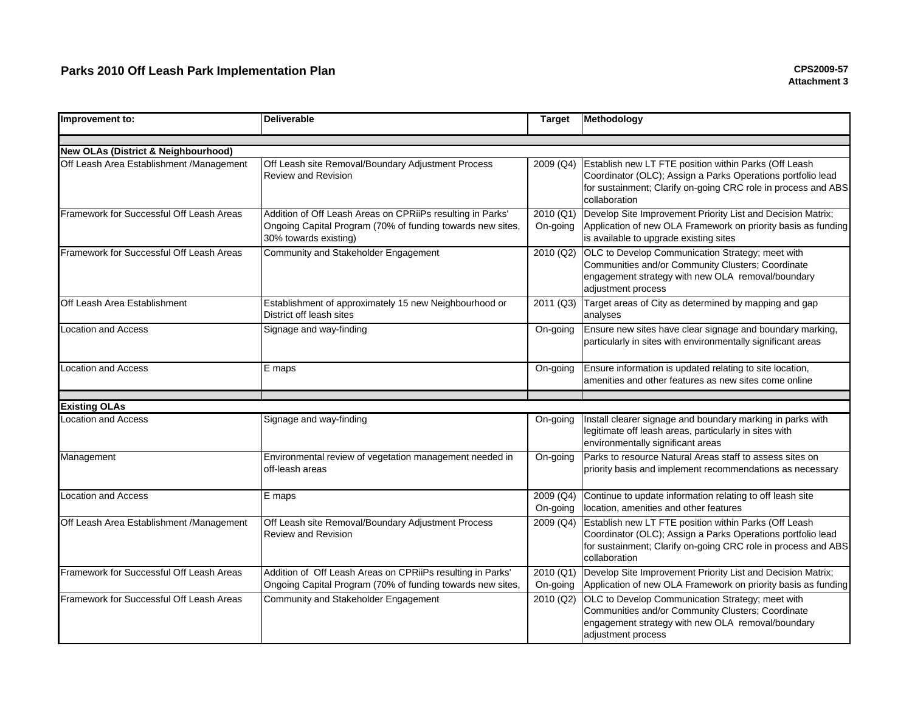| Improvement to:                                                                             | <b>Deliverable</b>                                                                                                                                | <b>Target</b>         | Methodology                                                                                                                                                                                            |
|---------------------------------------------------------------------------------------------|---------------------------------------------------------------------------------------------------------------------------------------------------|-----------------------|--------------------------------------------------------------------------------------------------------------------------------------------------------------------------------------------------------|
|                                                                                             |                                                                                                                                                   |                       |                                                                                                                                                                                                        |
| <b>New OLAs (District &amp; Neighbourhood)</b><br>Off Leash Area Establishment / Management | Off Leash site Removal/Boundary Adjustment Process<br>Review and Revision                                                                         | 2009 (Q4)             | Establish new LT FTE position within Parks (Off Leash<br>Coordinator (OLC); Assign a Parks Operations portfolio lead<br>for sustainment; Clarify on-going CRC role in process and ABS<br>collaboration |
| Framework for Successful Off Leash Areas                                                    | Addition of Off Leash Areas on CPRiiPs resulting in Parks'<br>Ongoing Capital Program (70% of funding towards new sites,<br>30% towards existing) | 2010 (Q1)<br>On-going | Develop Site Improvement Priority List and Decision Matrix;<br>Application of new OLA Framework on priority basis as funding<br>is available to upgrade existing sites                                 |
| Framework for Successful Off Leash Areas                                                    | Community and Stakeholder Engagement                                                                                                              | 2010 (Q2)             | OLC to Develop Communication Strategy; meet with<br>Communities and/or Community Clusters; Coordinate<br>engagement strategy with new OLA removal/boundary<br>adjustment process                       |
| Off Leash Area Establishment                                                                | Establishment of approximately 15 new Neighbourhood or<br>District off leash sites                                                                |                       | 2011 (Q3) Target areas of City as determined by mapping and gap<br>analyses                                                                                                                            |
| <b>Location and Access</b>                                                                  | Signage and way-finding                                                                                                                           | On-going              | Ensure new sites have clear signage and boundary marking,<br>particularly in sites with environmentally significant areas                                                                              |
| <b>Location and Access</b>                                                                  | E maps                                                                                                                                            | On-going              | Ensure information is updated relating to site location,<br>amenities and other features as new sites come online                                                                                      |
| <b>Existing OLAs</b>                                                                        |                                                                                                                                                   |                       |                                                                                                                                                                                                        |
| Location and Access                                                                         | Signage and way-finding                                                                                                                           | On-going              | Install clearer signage and boundary marking in parks with<br>legitimate off leash areas, particularly in sites with<br>environmentally significant areas                                              |
| Management                                                                                  | Environmental review of vegetation management needed in<br>off-leash areas                                                                        | On-going              | Parks to resource Natural Areas staff to assess sites on<br>priority basis and implement recommendations as necessary                                                                                  |
| <b>Location and Access</b>                                                                  | E maps                                                                                                                                            | 2009 (Q4)<br>On-going | Continue to update information relating to off leash site<br>location, amenities and other features                                                                                                    |
| Off Leash Area Establishment / Management                                                   | Off Leash site Removal/Boundary Adjustment Process<br>Review and Revision                                                                         | 2009 (Q4)             | Establish new LT FTE position within Parks (Off Leash<br>Coordinator (OLC); Assign a Parks Operations portfolio lead<br>for sustainment; Clarify on-going CRC role in process and ABS<br>collaboration |
| Framework for Successful Off Leash Areas                                                    | Addition of Off Leash Areas on CPRiiPs resulting in Parks'<br>Ongoing Capital Program (70% of funding towards new sites,                          | 2010 (Q1)<br>On-going | Develop Site Improvement Priority List and Decision Matrix;<br>Application of new OLA Framework on priority basis as funding                                                                           |
| Framework for Successful Off Leash Areas                                                    | Community and Stakeholder Engagement                                                                                                              | 2010 (Q2)             | OLC to Develop Communication Strategy; meet with<br>Communities and/or Community Clusters; Coordinate<br>engagement strategy with new OLA removal/boundary<br>adjustment process                       |